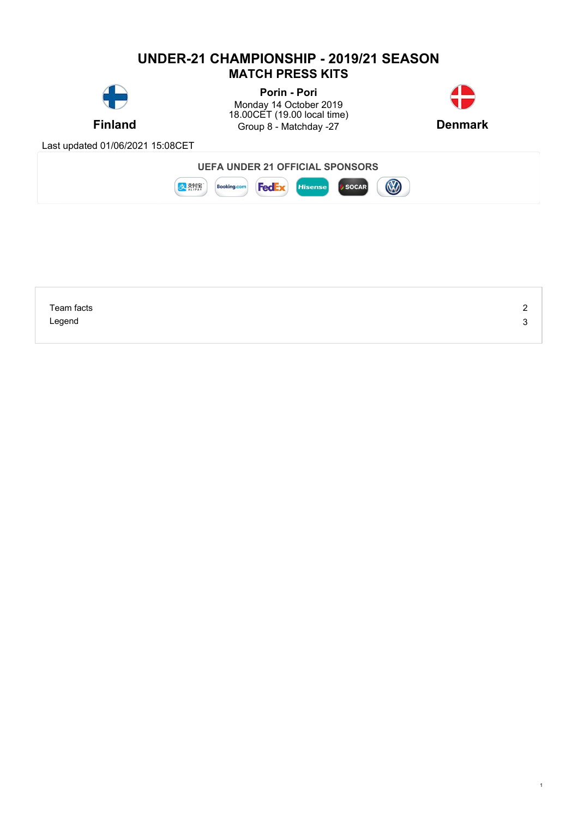# **UNDER-21 CHAMPIONSHIP - 2019/21 SEASON MATCH PRESS KITS**



**Finland** Group 8 - Matchday -27 **Denmark Porin - Pori** Monday 14 October 2019 18.00CET (19.00 local time)



1

Last updated 01/06/2021 15:08CET



| Team facts | $\sim$<br><u>_</u> |
|------------|--------------------|
| Legend     | ◠<br>J             |
|            |                    |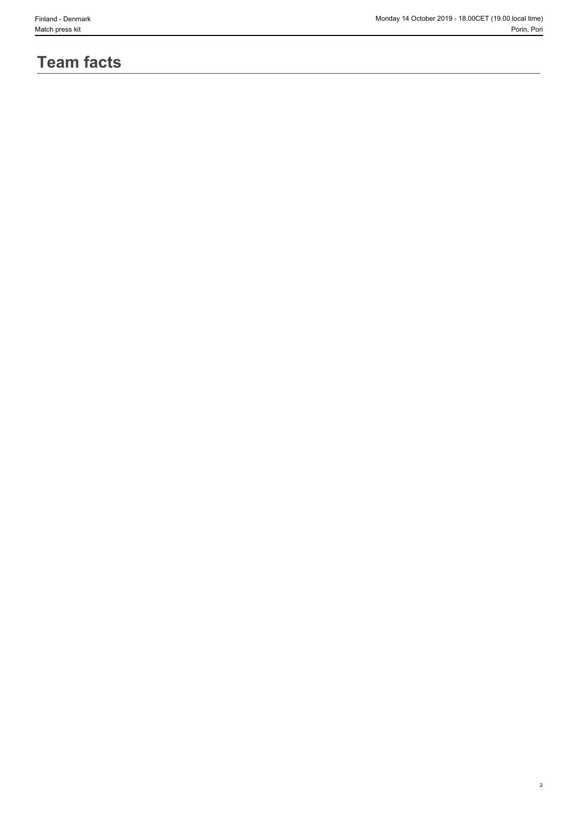2

# **Team facts**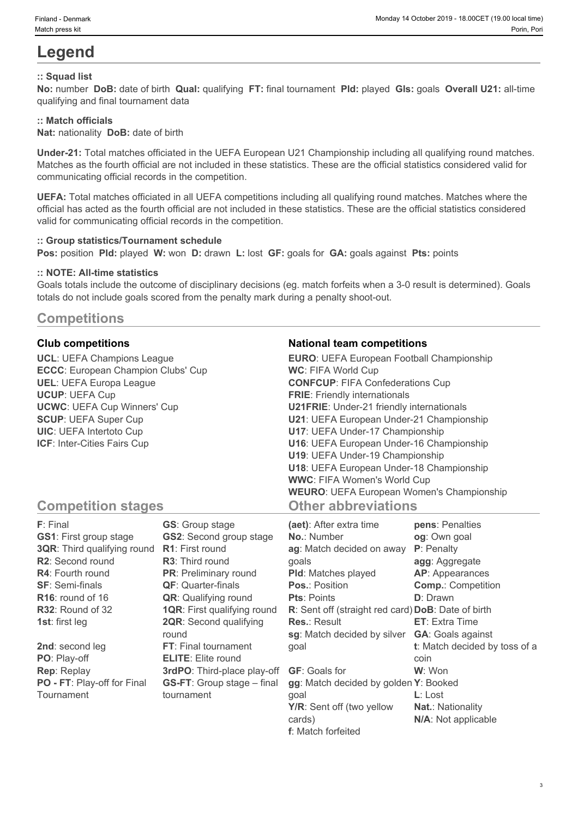# **Legend**

### **:: Squad list**

**No:** number **DoB:** date of birth **Qual:** qualifying **FT:** final tournament **Pld:** played **Gls:** goals **Overall U21:** all-time qualifying and final tournament data

#### **:: Match officials**

**Nat:** nationality **DoB:** date of birth

**Under-21:** Total matches officiated in the UEFA European U21 Championship including all qualifying round matches. Matches as the fourth official are not included in these statistics. These are the official statistics considered valid for communicating official records in the competition.

**UEFA:** Total matches officiated in all UEFA competitions including all qualifying round matches. Matches where the official has acted as the fourth official are not included in these statistics. These are the official statistics considered valid for communicating official records in the competition.

#### **:: Group statistics/Tournament schedule**

**Pos:** position **Pld:** played **W:** won **D:** drawn **L:** lost **GF:** goals for **GA:** goals against **Pts:** points

#### **:: NOTE: All-time statistics**

Goals totals include the outcome of disciplinary decisions (eg. match forfeits when a 3-0 result is determined). Goals totals do not include goals scored from the penalty mark during a penalty shoot-out.

## **Competitions**

**UCL**: UEFA Champions League **ECCC**: European Champion Clubs' Cup **UEL**: UEFA Europa League **UCUP**: UEFA Cup **UCWC**: UEFA Cup Winners' Cup **SCUP**: UEFA Super Cup **UIC**: UEFA Intertoto Cup **ICF**: Inter-Cities Fairs Cup

#### **Club competitions National team competitions**

| <b>EURO:</b> UEFA European Football Championship |  |
|--------------------------------------------------|--|
| <b>WC: FIFA World Cup</b>                        |  |
| <b>CONFCUP: FIFA Confederations Cup</b>          |  |
| <b>FRIE:</b> Friendly internationals             |  |
| <b>U21FRIE:</b> Under-21 friendly internationals |  |
| U21: UEFA European Under-21 Championship         |  |
| U17: UEFA Under-17 Championship                  |  |
| U16: UEFA European Under-16 Championship         |  |
| U19: UEFA Under-19 Championship                  |  |
| U18: UEFA European Under-18 Championship         |  |
| <b>WWC: FIFA Women's World Cup</b>               |  |
| <b>WEURO:</b> UEFA European Women's Championship |  |
| <b>Other abbreviations</b>                       |  |

# **Competition stages**

| F: Final                           | <b>GS:</b> Group stage             | (aet): After extra time                            | pens: Penalties               |
|------------------------------------|------------------------------------|----------------------------------------------------|-------------------------------|
| <b>GS1: First group stage</b>      | <b>GS2:</b> Second group stage     | <b>No.: Number</b>                                 | og: Own goal                  |
| <b>3QR:</b> Third qualifying round | <b>R1:</b> First round             | ag: Match decided on away                          | <b>P</b> : Penalty            |
| R2: Second round                   | <b>R3:</b> Third round             | qoals                                              | agg: Aggregate                |
| <b>R4:</b> Fourth round            | <b>PR:</b> Preliminary round       | <b>PId:</b> Matches played                         | AP: Appearances               |
| <b>SF: Semi-finals</b>             | <b>QF:</b> Quarter-finals          | <b>Pos.: Position</b>                              | <b>Comp.: Competition</b>     |
| $R16$ : round of 16                | <b>QR:</b> Qualifying round        | <b>Pts: Points</b>                                 | <b>D</b> : Drawn              |
| R32: Round of 32                   | <b>1QR: First qualifying round</b> | R: Sent off (straight red card) DoB: Date of birth |                               |
| <b>1st:</b> first leg              | <b>2QR:</b> Second qualifying      | <b>Res.: Result</b>                                | <b>ET:</b> Extra Time         |
|                                    | round                              | sg: Match decided by silver                        | <b>GA:</b> Goals against      |
| 2nd: second leg                    | FT: Final tournament               | qoal                                               | t: Match decided by toss of a |
| PO: Play-off                       | <b>ELITE:</b> Elite round          |                                                    | coin                          |
| <b>Rep: Replay</b>                 | 3rdPO: Third-place play-off        | <b>GF:</b> Goals for                               | W: Won                        |
| PO - FT: Play-off for Final        | <b>GS-FT:</b> Group stage – final  | gg: Match decided by golden Y: Booked              |                               |
| Tournament                         | tournament                         | qoal                                               | $L:$ Lost                     |
|                                    |                                    | Y/R: Sent off (two yellow                          | <b>Nat.: Nationality</b>      |
|                                    |                                    | cards)                                             | N/A: Not applicable           |

**f**: Match forfeited